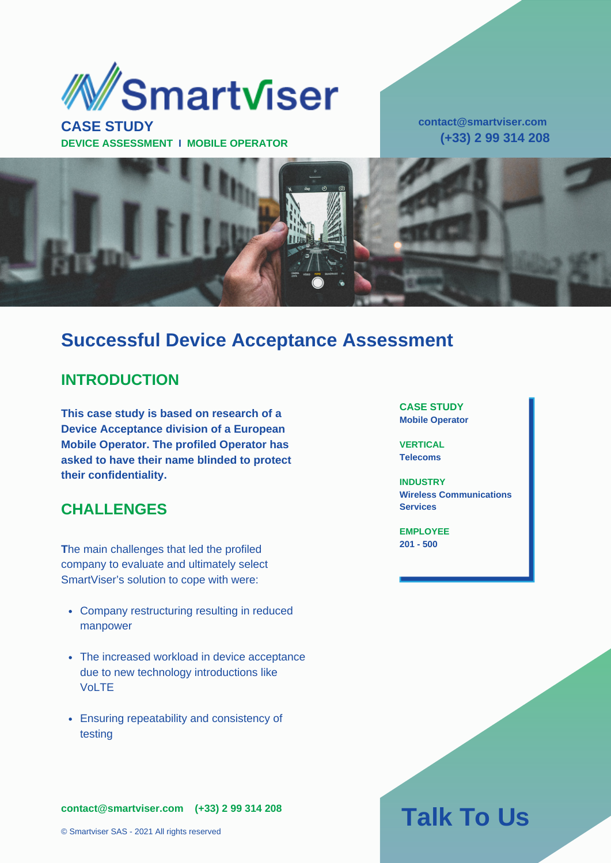

**CASE STUDY DEVICE ASSESSMENT I MOBILE OPERATOR** **contact@smartviser.com (+33) 2 99 314 208**



## **Successful Device Acceptance Assessment**

### **INTRODUCTION**

**This case study is based on research of a Device Acceptance division of a European Mobile Operator. The profiled Operator has asked to have their name blinded to protect their confidentiality.**

### **CHALLENGES**

**T**he main challenges that led the profiled company to evaluate and ultimately select SmartViser's solution to cope with were:

- Company restructuring resulting in reduced manpower
- The increased workload in device acceptance due to new technology introductions like VoLTE
- Ensuring repeatability and consistency of testing

**contact@smartviser.com (+33) 2 99 314 208**

#### **CASE STUDY Mobile Operator**

**VERTICAL Telecoms**

**INDUSTRY Wireless Communications Services**

**EMPLOYEE 201 - 500**

# **Talk To Us**